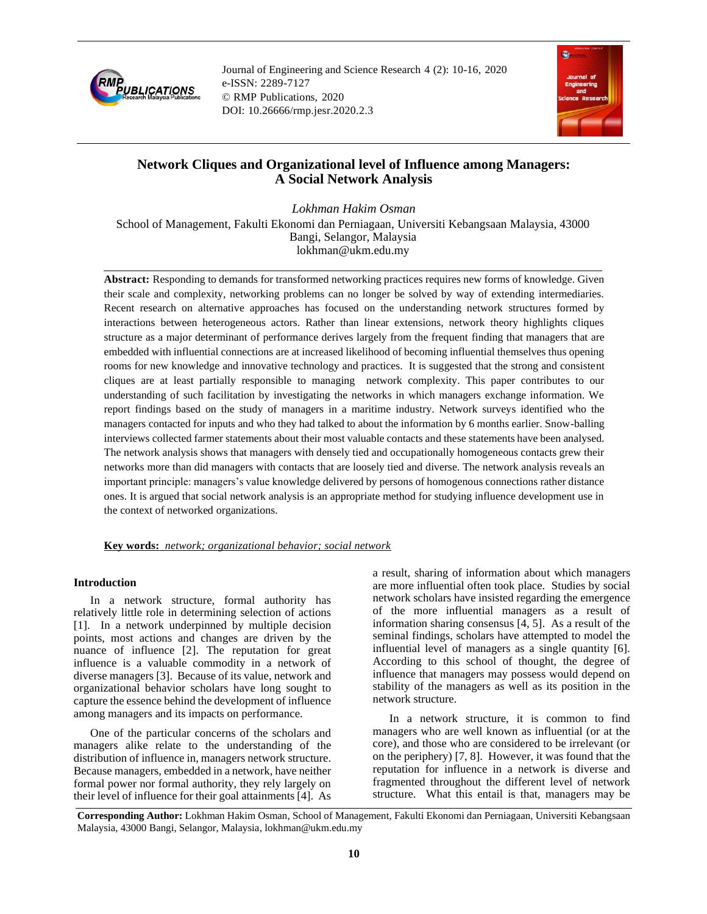

Journal of Engineering and Science Research 4 (2): 10-16, 2020 e-ISSN: 2289-7127 © RMP Publications, 2020 DOI: 10.26666/rmp.jesr.2020.2.3



# **Network Cliques and Organizational level of Influence among Managers: A Social Network Analysis**

*Lokhman Hakim Osman* School of Management, Fakulti Ekonomi dan Perniagaan, Universiti Kebangsaan Malaysia, 43000 Bangi, Selangor, Malaysia lokhman@ukm.edu.my

**Abstract:** Responding to demands for transformed networking practices requires new forms of knowledge. Given their scale and complexity, networking problems can no longer be solved by way of extending intermediaries. Recent research on alternative approaches has focused on the understanding network structures formed by interactions between heterogeneous actors. Rather than linear extensions, network theory highlights cliques structure as a major determinant of performance derives largely from the frequent finding that managers that are embedded with influential connections are at increased likelihood of becoming influential themselves thus opening rooms for new knowledge and innovative technology and practices. It is suggested that the strong and consistent cliques are at least partially responsible to managing network complexity. This paper contributes to our understanding of such facilitation by investigating the networks in which managers exchange information. We report findings based on the study of managers in a maritime industry. Network surveys identified who the managers contacted for inputs and who they had talked to about the information by 6 months earlier. Snow-balling interviews collected farmer statements about their most valuable contacts and these statements have been analysed. The network analysis shows that managers with densely tied and occupationally homogeneous contacts grew their networks more than did managers with contacts that are loosely tied and diverse. The network analysis reveals an important principle: managers's value knowledge delivered by persons of homogenous connections rather distance ones. It is argued that social network analysis is an appropriate method for studying influence development use in the context of networked organizations.

# **Key words:** *network; organizational behavior; social network*

## **Introduction**

In a network structure, formal authority has relatively little role in determining selection of actions [1]. In a network underpinned by multiple decision points, most actions and changes are driven by the nuance of influence [2]. The reputation for great influence is a valuable commodity in a network of diverse managers [3]. Because of its value, network and organizational behavior scholars have long sought to capture the essence behind the development of influence among managers and its impacts on performance.

One of the particular concerns of the scholars and managers alike relate to the understanding of the distribution of influence in, managers network structure. Because managers, embedded in a network, have neither formal power nor formal authority, they rely largely on their level of influence for their goal attainments [4]. As a result, sharing of information about which managers are more influential often took place. Studies by social network scholars have insisted regarding the emergence of the more influential managers as a result of information sharing consensus [4, 5]. As a result of the seminal findings, scholars have attempted to model the influential level of managers as a single quantity [6]. According to this school of thought, the degree of influence that managers may possess would depend on stability of the managers as well as its position in the network structure.

In a network structure, it is common to find managers who are well known as influential (or at the core), and those who are considered to be irrelevant (or on the periphery) [7, 8]. However, it was found that the reputation for influence in a network is diverse and fragmented throughout the different level of network structure. What this entail is that, managers may be

**Corresponding Author:** Lokhman Hakim Osman, School of Management, Fakulti Ekonomi dan Perniagaan, Universiti Kebangsaan Malaysia, 43000 Bangi, Selangor, Malaysia, lokhman@ukm.edu.my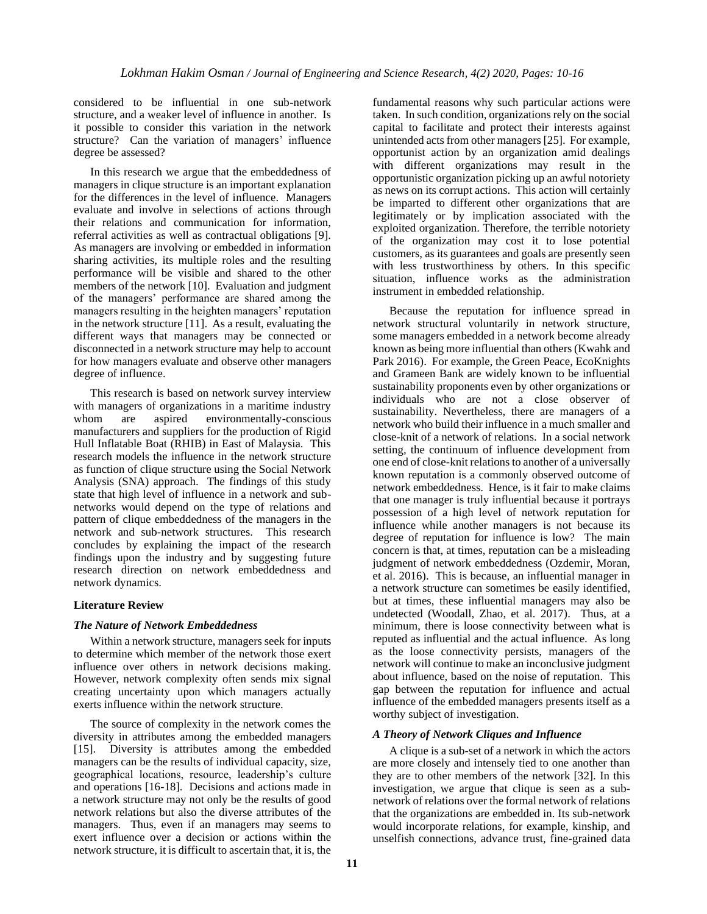considered to be influential in one sub-network structure, and a weaker level of influence in another. Is it possible to consider this variation in the network structure? Can the variation of managers' influence degree be assessed?

In this research we argue that the embeddedness of managers in clique structure is an important explanation for the differences in the level of influence. Managers evaluate and involve in selections of actions through their relations and communication for information, referral activities as well as contractual obligations [9]. As managers are involving or embedded in information sharing activities, its multiple roles and the resulting performance will be visible and shared to the other members of the network [10]. Evaluation and judgment of the managers' performance are shared among the managers resulting in the heighten managers' reputation in the network structure [11]. As a result, evaluating the different ways that managers may be connected or disconnected in a network structure may help to account for how managers evaluate and observe other managers degree of influence.

This research is based on network survey interview with managers of organizations in a maritime industry whom are aspired environmentally-conscious manufacturers and suppliers for the production of Rigid Hull Inflatable Boat (RHIB) in East of Malaysia. This research models the influence in the network structure as function of clique structure using the Social Network Analysis (SNA) approach. The findings of this study state that high level of influence in a network and subnetworks would depend on the type of relations and pattern of clique embeddedness of the managers in the network and sub-network structures. This research concludes by explaining the impact of the research findings upon the industry and by suggesting future research direction on network embeddedness and network dynamics.

#### **Literature Review**

#### *The Nature of Network Embeddedness*

Within a network structure, managers seek for inputs to determine which member of the network those exert influence over others in network decisions making. However, network complexity often sends mix signal creating uncertainty upon which managers actually exerts influence within the network structure.

The source of complexity in the network comes the diversity in attributes among the embedded managers [15]. Diversity is attributes among the embedded managers can be the results of individual capacity, size, geographical locations, resource, leadership's culture and operations [16-18]. Decisions and actions made in a network structure may not only be the results of good network relations but also the diverse attributes of the managers. Thus, even if an managers may seems to exert influence over a decision or actions within the network structure, it is difficult to ascertain that, it is, the fundamental reasons why such particular actions were taken. In such condition, organizations rely on the social capital to facilitate and protect their interests against unintended acts from other managers [25]. For example, opportunist action by an organization amid dealings with different organizations may result in the opportunistic organization picking up an awful notoriety as news on its corrupt actions. This action will certainly be imparted to different other organizations that are legitimately or by implication associated with the exploited organization. Therefore, the terrible notoriety of the organization may cost it to lose potential customers, as its guarantees and goals are presently seen with less trustworthiness by others. In this specific situation, influence works as the administration instrument in embedded relationship.

Because the reputation for influence spread in network structural voluntarily in network structure, some managers embedded in a network become already known as being more influential than others (Kwahk and Park 2016). For example, the Green Peace, EcoKnights and Grameen Bank are widely known to be influential sustainability proponents even by other organizations or individuals who are not a close observer of sustainability. Nevertheless, there are managers of a network who build their influence in a much smaller and close-knit of a network of relations. In a social network setting, the continuum of influence development from one end of close-knit relations to another of a universally known reputation is a commonly observed outcome of network embeddedness. Hence, is it fair to make claims that one manager is truly influential because it portrays possession of a high level of network reputation for influence while another managers is not because its degree of reputation for influence is low? The main concern is that, at times, reputation can be a misleading judgment of network embeddedness (Ozdemir, Moran, et al. 2016). This is because, an influential manager in a network structure can sometimes be easily identified, but at times, these influential managers may also be undetected (Woodall, Zhao, et al. 2017). Thus, at a minimum, there is loose connectivity between what is reputed as influential and the actual influence. As long as the loose connectivity persists, managers of the network will continue to make an inconclusive judgment about influence, based on the noise of reputation. This gap between the reputation for influence and actual influence of the embedded managers presents itself as a worthy subject of investigation.

#### *A Theory of Network Cliques and Influence*

A clique is a sub-set of a network in which the actors are more closely and intensely tied to one another than they are to other members of the network [32]. In this investigation, we argue that clique is seen as a subnetwork of relations over the formal network of relations that the organizations are embedded in. Its sub-network would incorporate relations, for example, kinship, and unselfish connections, advance trust, fine-grained data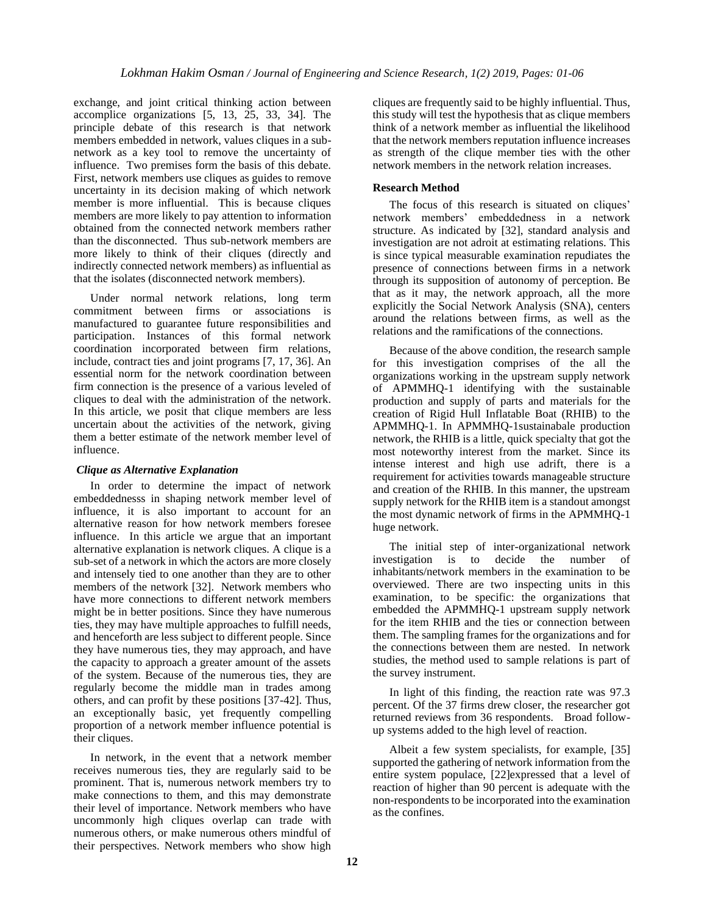exchange, and joint critical thinking action between accomplice organizations [5, 13, 25, 33, 34]. The principle debate of this research is that network members embedded in network, values cliques in a subnetwork as a key tool to remove the uncertainty of influence. Two premises form the basis of this debate. First, network members use cliques as guides to remove uncertainty in its decision making of which network member is more influential. This is because cliques members are more likely to pay attention to information obtained from the connected network members rather than the disconnected. Thus sub-network members are more likely to think of their cliques (directly and indirectly connected network members) as influential as that the isolates (disconnected network members).

Under normal network relations, long term commitment between firms or associations is manufactured to guarantee future responsibilities and participation. Instances of this formal network coordination incorporated between firm relations, include, contract ties and joint programs [7, 17, 36]. An essential norm for the network coordination between firm connection is the presence of a various leveled of cliques to deal with the administration of the network. In this article, we posit that clique members are less uncertain about the activities of the network, giving them a better estimate of the network member level of influence.

## *Clique as Alternative Explanation*

In order to determine the impact of network embeddednesss in shaping network member level of influence, it is also important to account for an alternative reason for how network members foresee influence. In this article we argue that an important alternative explanation is network cliques. A clique is a sub-set of a network in which the actors are more closely and intensely tied to one another than they are to other members of the network [32]. Network members who have more connections to different network members might be in better positions. Since they have numerous ties, they may have multiple approaches to fulfill needs, and henceforth are less subject to different people. Since they have numerous ties, they may approach, and have the capacity to approach a greater amount of the assets of the system. Because of the numerous ties, they are regularly become the middle man in trades among others, and can profit by these positions [37-42]. Thus, an exceptionally basic, yet frequently compelling proportion of a network member influence potential is their cliques.

In network, in the event that a network member receives numerous ties, they are regularly said to be prominent. That is, numerous network members try to make connections to them, and this may demonstrate their level of importance. Network members who have uncommonly high cliques overlap can trade with numerous others, or make numerous others mindful of their perspectives. Network members who show high cliques are frequently said to be highly influential. Thus, this study will test the hypothesis that as clique members think of a network member as influential the likelihood that the network members reputation influence increases as strength of the clique member ties with the other network members in the network relation increases.

## **Research Method**

The focus of this research is situated on cliques' network members' embeddedness in a network structure. As indicated by [32], standard analysis and investigation are not adroit at estimating relations. This is since typical measurable examination repudiates the presence of connections between firms in a network through its supposition of autonomy of perception. Be that as it may, the network approach, all the more explicitly the Social Network Analysis (SNA), centers around the relations between firms, as well as the relations and the ramifications of the connections.

Because of the above condition, the research sample for this investigation comprises of the all the organizations working in the upstream supply network of APMMHQ-1 identifying with the sustainable production and supply of parts and materials for the creation of Rigid Hull Inflatable Boat (RHIB) to the APMMHQ-1. In APMMHQ-1sustainabale production network, the RHIB is a little, quick specialty that got the most noteworthy interest from the market. Since its intense interest and high use adrift, there is a requirement for activities towards manageable structure and creation of the RHIB. In this manner, the upstream supply network for the RHIB item is a standout amongst the most dynamic network of firms in the APMMHQ-1 huge network.

The initial step of inter-organizational network investigation is to decide the number of inhabitants/network members in the examination to be overviewed. There are two inspecting units in this examination, to be specific: the organizations that embedded the APMMHQ-1 upstream supply network for the item RHIB and the ties or connection between them. The sampling frames for the organizations and for the connections between them are nested. In network studies, the method used to sample relations is part of the survey instrument.

In light of this finding, the reaction rate was 97.3 percent. Of the 37 firms drew closer, the researcher got returned reviews from 36 respondents. Broad followup systems added to the high level of reaction.

Albeit a few system specialists, for example, [35] supported the gathering of network information from the entire system populace, [22]expressed that a level of reaction of higher than 90 percent is adequate with the non-respondents to be incorporated into the examination as the confines.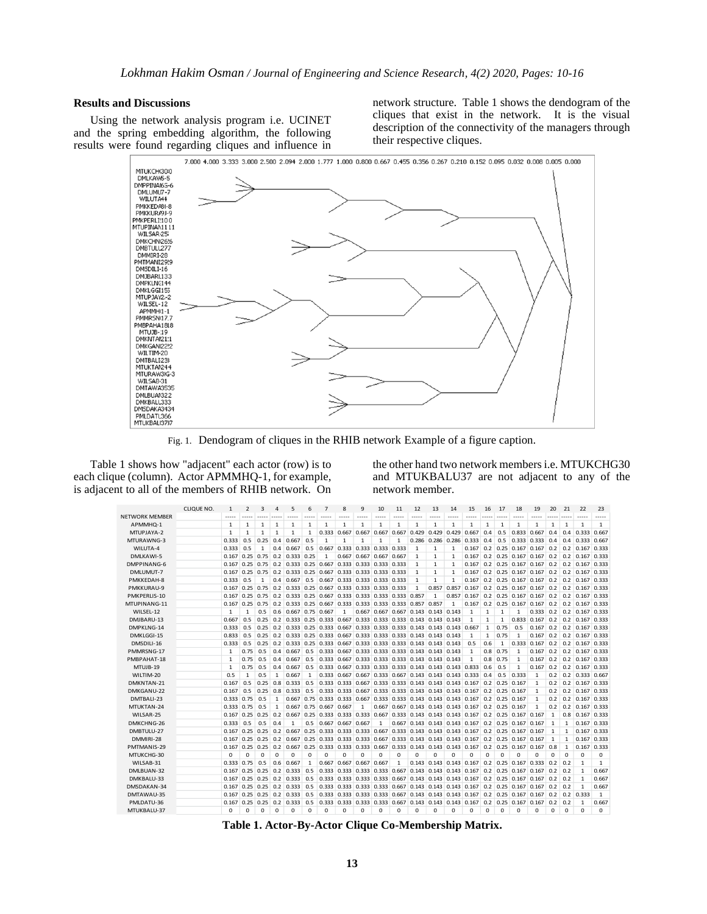## **Results and Discussions**

Using the network analysis program i.e. UCINET and the spring embedding algorithm, the following results were found regarding cliques and influence in network structure. Table 1 shows the dendogram of the cliques that exist in the network. It is the visual description of the connectivity of the managers through their respective cliques.



Fig. 1. Dendogram of cliques in the RHIB network Example of a figure caption.

Table 1 shows how "adjacent" each actor (row) is to each clique (column). Actor APMMHQ-1, for example, is adjacent to all of the members of RHIB network. On the other hand two network members i.e. MTUKCHG30 and MTUKBALU37 are not adjacent to any of the network member.

|                                                                                                                                                                                                              |                              |     |                             | 23            |
|--------------------------------------------------------------------------------------------------------------------------------------------------------------------------------------------------------------|------------------------------|-----|-----------------------------|---------------|
| NFTWORK MFMBFR<br>-----<br><br>-----<br>-----<br>$- - - - -$<br>-----<br>-----<br><br><br><br>.                                                                                                              |                              |     |                             |               |
| $\mathbf{1}$<br>$\mathbf{1}$<br>$\mathbf{1}$<br>APMMHQ-1<br>$\mathbf{1}$<br>1<br>1<br>1<br>1<br>1<br>1<br>1<br>$\mathbf{1}$<br>1<br>$\mathbf{1}$<br>1<br>$\mathbf{1}$<br>1<br>1<br>$\mathbf{1}$              | $\mathbf{1}$<br>$\mathbf{1}$ |     | 1                           | $\mathbf{1}$  |
| 0.833<br>MTUPJAYA-2<br>$\mathbf{1}$<br>$\mathbf{1}$<br>$\mathbf{1}$<br>0.333<br>0.667<br>0.667<br>0.667<br>0.429<br>0.429<br>0.429<br>0.667<br>0.4<br>0.5<br>0.667<br>$\mathbf{1}$<br>1<br>1<br>0.667        | 0.4                          | 0.4 | 0.333                       | 0.667         |
| MTURAWNG-3<br>0.333<br>0.5<br>0.667<br>0.5<br>$\mathbf{1}$<br>0.286<br>$0.333 \ 0.333$<br>0.25<br>0.4<br>$\mathbf{1}$<br>$\mathbf{1}$<br>$\mathbf{1}$<br>1<br>0.286<br>0.286<br>0.333<br>0.4<br>0.5          | 0.4                          | 0.4 | $0.333$ $0.667$             |               |
| WILUTA-4<br>0.333<br>0.5<br>1<br>0.667<br>0.5<br>0.667<br>0.333<br>0.333 0.333 0.333<br>0.167<br>$0.2$ 0.25 0.167<br>0.167<br>0.4<br>$\mathbf{1}$<br>1<br>1                                                  | 0.2                          | 0.2 | 0.167                       | 0.333         |
| DMI KAWI-5<br>0.25<br>0.75<br>0.333 0.25<br>$0.2$ 0.25 0.167 0.167<br>0.167<br>0.2<br>1<br>0.667<br>0.667 0.667<br>0.667<br>1<br>1<br>1<br>0.167                                                             | 0.2                          | 0.2 | 0.167                       | 0.333         |
| DMPPINANG-6<br>0.2 0.333 0.25 0.667 0.333 0.333 0.333 0.333<br>$0.167$ 0.25 0.75<br>$\mathbf{1}$<br>1<br>1<br>0.167<br>$0.2$ 0.25 0.167 0.167                                                                | 0.2                          |     | $0.2$ 0.167 0.333           |               |
| 0.2 0.333 0.25 0.667 0.333 0.333 0.333 0.333<br>$0.2$ 0.25 0.167 0.167<br>DMLUMUT-7<br>$0.167$ 0.25 0.75<br>0.167<br>$\mathbf{1}$<br>1<br>1                                                                  | 0.2                          |     | $0.2$ 0.167 0.333           |               |
| PMKKEDAH-8<br>0.333<br>0.5<br>1<br>0.667<br>0.5<br>0.667 0.333 0.333 0.333 0.333<br>1<br>1<br>1<br>0.167<br>$0.2$ 0.25 0.167 0.167<br>0.4                                                                    | 0.2                          | 0.2 | 0.167 0.333                 |               |
| PMKKURAU-9<br>0.333 0.25 0.667 0.333 0.333 0.333 0.333<br>$\mathbf{1}$<br>0.857<br>0.857<br>0.167<br>$0.167$ 0.25 0.75<br>0.2<br>$0.2$ 0.25 0.167 0.167                                                      | 0.2                          | 0.2 |                             | 0.167 0.333   |
| PMKPERLIS-10<br>$0.167$ $0.25$ $0.75$<br>0.2<br>0.333 0.25 0.667 0.333 0.333 0.333 0.333 0.857<br>0.857 0.167<br>$0.2$ 0.25 0.167 0.167<br>1                                                                 | 0.2                          | 0.2 | 0.167 0.333                 |               |
| MTUPINANG-11<br>$0.167$ 0.25 0.75<br>$0.2$   0.333   0.25   0.667   0.333   0.333   0.333   0.333   0.857   0.857<br>$0.2$ 0.25 0.167 0.167<br>1<br>0.167                                                    | 0.2                          |     | $0.2$ 0.167 0.333           |               |
| WILSEL-12<br>$0.6$ 0.667 0.75 0.667<br>0.667 0.667 0.667 0.143 0.143 0.143<br>$\mathbf{1}$<br>1<br>0.5<br>1<br>1<br>1<br>$\mathbf{1}$<br>0.333<br>$\mathbf{1}$                                               | 0.2                          |     | $0.2 \mid 0.167 \mid 0.333$ |               |
| 0.833<br>DMIBARU-13<br>0.667<br>0.5<br>0.25<br>0.2 0.333 0.25 0.333 0.667 0.333 0.333 0.333 0.143 0.143 0.143<br>$\mathbf{1}$<br>$\mathbf{1}$<br>$\mathbf{1}$<br>0.167                                       | 0.2                          |     | $0.2 \quad 0.167$           | 0.333         |
| DMPKLNG-14<br>0.5<br>0.2<br>0.333 0.25 0.333 0.667 0.333 0.333 0.333 0.143 0.143 0.143<br>0.75<br>0.5<br>0.167<br>0.333<br>0.25<br>0.667<br>1                                                                | 0.2                          |     | $0.2$ 0.167 0.333           |               |
| 0.5<br>0.333 0.25 0.333 0.667 0.333 0.333 0.333 0.143 0.143 0.143<br>0.75<br>DMKLGGI-15<br>0.833<br>0.25<br>0.2<br>1<br>1<br>0.167<br>1                                                                      | 0.2                          | 0.2 | 0.167                       | 0.333         |
| DMSDILI-16<br>0.2 0.333 0.25 0.333 0.667 0.333 0.333 0.333 0.143 0.143 0.143<br>0.333<br>0.333<br>0.5<br>0.25<br>0.5<br>0.6<br>1<br>0.167                                                                    | 0.2                          |     | $0.2 \quad 0.167$           | 0.333         |
| PMMRSNG-17<br>0.75<br>$0.4 \quad 0.667$<br>0.5<br>0.333 0.667 0.333 0.333 0.333 0.143 0.143 0.143<br>$0.8$ 0.75<br>0.167<br>0.5<br>$\mathbf{1}$<br>1<br>$\mathbf{1}$                                         | 0.2                          |     | $0.2$ 0.167 0.333           |               |
| 0.5<br>0.333 0.667 0.333 0.333 0.333 0.143 0.143 0.143<br>PMBPAHAT-18<br>1<br>0.75<br>0.5<br>0.667<br>1<br>0.8<br>0.75<br>1<br>0.167<br>0.4                                                                  | 0.2                          |     | $0.2$ 0.167 0.333           |               |
| MTUJB-19<br>0.75<br>0.5<br>0.4<br>0.667<br>0.5<br>0.333 0.667 0.333 0.333 0.333 0.143 0.143 0.143 0.833<br>0.6<br>0.5<br>$\mathbf{1}$<br>0.167<br>1                                                          | 0.2                          |     | $0.2$ 0.167 0.333           |               |
| WIITIM-20<br>0.5<br>$\mathbf{1}$<br>0.5<br>0.333 0.667 0.667 0.333 0.667 0.143 0.143 0.143 0.333<br>0.333<br>1<br>0.667<br>1<br>0.4<br>0.5<br>1                                                              | 0.2                          |     | $0.2$ 0.333 0.667           |               |
| 0.5<br>DMKNTAN-21<br>0.167<br>0.25<br>0.8<br>0.333<br>0.5<br>0.333 0.333 0.667 0.333 0.333 0.143 0.143 0.143 0.167<br>$0.2$ 0.25 0.167<br>$\mathbf{1}$                                                       | 0.2                          |     | $0.2$ 0.167 0.333           |               |
| 0.5<br>0.5<br>0.333 0.333 0.667 0.333 0.333 0.143 0.143 0.143 0.167<br>DMKGANU-22<br>0.167<br>0.25<br>$0.8 \quad 0.333$<br>$0.2$ 0.25 0.167<br>$\mathbf{1}$                                                  | 0.2                          |     | $0.2$ 0.167 0.333           |               |
| 0.333 0.75<br>0.667 0.75 0.333 0.333 0.667 0.333 0.333 0.143 0.143 0.143 0.167<br>DMTBALI-23<br>0.5<br>1<br>$0.2$ 0.25 0.167<br>1                                                                            | 0.2                          |     | $0.2$ 0.167 0.333           |               |
| MTUKTAN-24<br>0.333 0.75<br>0.5<br>0.75 0.667 0.667<br>0.667 0.667 0.143 0.143 0.143 0.167<br>$0.2$ 0.25 0.167<br>$\mathbf{1}$<br>1<br>0.667<br>1                                                            | 0.2                          |     | $0.2 \quad 0.167$           | 0.333         |
| WILSAR-25<br>0.333 0.333 0.333 0.667 0.333 0.143 0.143 0.143 0.167<br>0.167<br>0.25<br>0.25<br>0.2<br>0.25<br>$0.2$ 0.25 0.167<br>0.167<br>0.667                                                             | 1                            | 0.8 | 0.167                       | 0.333         |
| DMKCHNG-26<br>0.333<br>0.5<br>0.5<br>0.4<br>0.5<br>0.667 0.667 0.667<br>0.667 0.143 0.143 0.143 0.167<br>$0.2$ 0.25 0.167<br>1<br>1<br>0.167                                                                 | $\mathbf{1}$                 | 1   | 0.167                       | 0.333         |
| DMBTULU-27<br>$0.167$ 0.25 0.25<br>$0.2 \, 0.667$<br>0.25 0.333 0.333 0.333 0.667 0.333 0.143 0.143 0.143 0.167<br>$0.2$ 0.25 0.167 0.167                                                                    | $\mathbf{1}$                 | 1   |                             | $0.167$ 0.333 |
| DMMIRI-28<br>$0.25$ 0.25<br>0.2<br>0.25 0.333 0.333 0.333 0.667 0.333 0.143 0.143 0.143 0.167<br>$0.2$ 0.25 0.167<br>0.167<br>0.667<br>0.167                                                                 | $\mathbf{1}$<br>1            |     |                             | $0.167$ 0.333 |
| PMTMANIS-29<br>0.25<br>0.25<br>0.2<br>0.667<br>0.25<br>$0.333$ $0.333$ $0.333$ $0.667$<br>$0.333$ $0.143$ $0.143$ $0.143$ $0.167$<br>0.2<br>$0.25$ 0.167<br>0.167<br>0.167                                   | 0.8<br>1                     |     | 0.167                       | 0.333         |
| MTUKCHG-30<br>0<br>0<br>0<br>$\Omega$<br>0<br>0<br>$\mathbf 0$<br>$\Omega$<br>0<br>0<br>0<br>0<br>$\Omega$<br>0<br>0<br>0<br>O<br>$\Omega$<br>0                                                              | $\Omega$<br>$\mathbf 0$      |     | 0                           | 0             |
| WILSAB-31<br>0.333 0.75<br>0.667<br>0.667<br>0.667 0.667 0.667<br>$\mathbf{1}$<br>$0.143$ 0.143 0.143 0.167<br>$0.2$ 0.25 0.167<br>0.5<br>0.6<br>1<br>0.333                                                  | 0.2                          | 0.2 | 1                           | $\mathbf{1}$  |
| DMLBUAN-32<br>$0.167$ 0.25<br>0.25<br>0.2<br>0.333<br>0.5<br>0.333 0.333 0.333 0.333 0.667 0.143 0.143 0.143 0.167<br>$0.2$ 0.25 0.167 0.167                                                                 | 0.2                          | 0.2 | 1                           | 0.667         |
| DMKBALU-33<br>0.25<br>0.2<br>0.333<br>0.5<br>0.333 0.333 0.333 0.333 0.667 0.143 0.143 0.143 0.167<br>0.2<br>0.167<br>0.25<br>$0.25$ 0.167<br>0.167                                                          | 0.2                          | 0.2 | $\mathbf{1}$                | 0.667         |
| 0.2<br>DMSDAKAN-34<br>$0.167$ 0.25 0.25<br>0.333<br>0.5<br>0.333 0.333 0.333 0.333 0.667 0.143 0.143 0.143 0.167<br>0.2<br>$0.25$ 0.167<br>0.167                                                             | 0.2                          | 0.2 | $\mathbf{1}$                | 0.667         |
| DMTAWAU-35<br>0.25<br>0.2<br>0.5<br>0.333 0.333 0.333 0.333 0.667 0.143 0.143 0.143 0.167<br>0.2<br>0.25<br>0.167<br>0.25<br>0.333<br>0.167<br>0.167                                                         | 0.2                          | 0.2 | 0.333                       | 1             |
| PMLDATU-36<br>0.25<br>0.25<br>$0.2 \mid 0.333$<br>0.5<br>0.333 0.333 0.333 0.333 0.667 0.143 0.143 0.143 0.167<br>0.2<br>0.25<br>0.167<br>0.167<br>0.167                                                     | 0.2                          | 0.2 | 1                           | 0.667         |
| MTUKBALU-37<br>$\Omega$<br>$\Omega$<br>0<br>$\Omega$<br>$\Omega$<br>$\Omega$<br>$\Omega$<br>0<br>$\Omega$<br>o<br>$\Omega$<br>$\Omega$<br>$\Omega$<br>$\Omega$<br>$\Omega$<br>$\Omega$<br>$\Omega$<br>o<br>n | 0<br>$\Omega$                |     | $\Omega$                    | $\Omega$      |

**Table 1. Actor-By-Actor Clique Co-Membership Matrix.**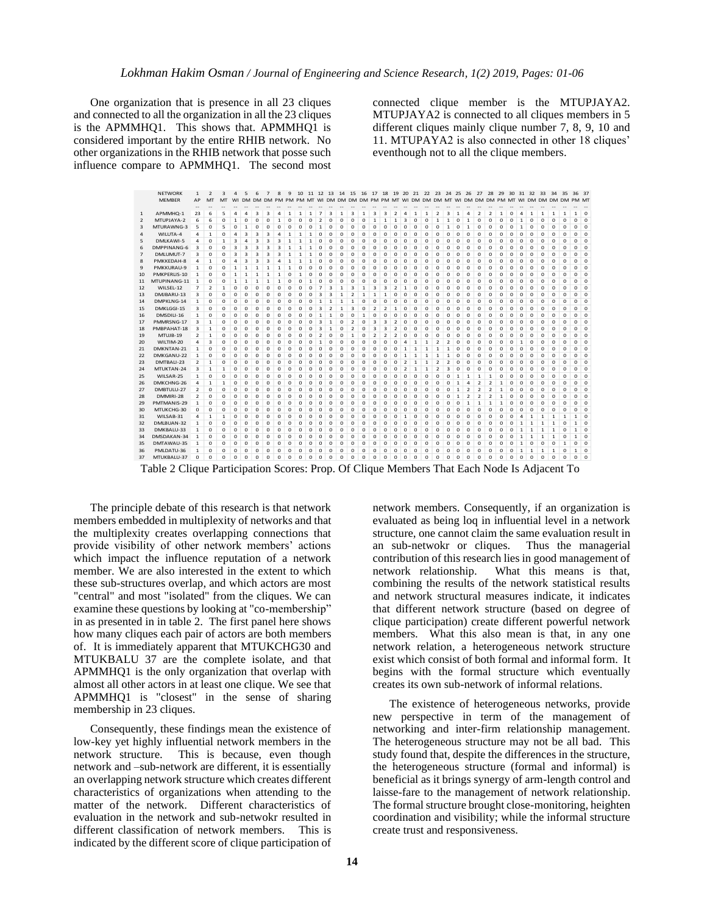One organization that is presence in all 23 cliques and connected to all the organization in all the 23 cliques is the APMMHQ1. This shows that. APMMHQ1 is considered important by the entire RHIB network. No other organizations in the RHIB network that posse such influence compare to APMMHQ1. The second most connected clique member is the MTUPJAYA2. MTUPJAYA2 is connected to all cliques members in 5 different cliques mainly clique number 7, 8, 9, 10 and 11. MTUPAYA2 is also connected in other 18 cliques' eventhough not to all the clique members.

create trust and responsiveness. NETWORK 1 2 3 4 5 6 7 8 9 10 11 12 13 14 15 16 17 18 19 20 21 22 23 24 25 26 27 28 29 30 31 32 33 34 35 36 37 MEMBER AP MT MT WI DM DM DM PM PM PM MT WI DM DM DM DM PM PM MT WI DM DM DM MT WI DM DM DM PM MT WI DM DM DM DM PM MT 1 APMMHQ-1 23 6 5 4 4 3 3 4 1 1 1 7 3 1 3 1 3 3 2 4 1 1 2 3 1 4 2 2 1 0 4 1 1 1 1 1 0 2 MTUPJAYA-2 6 6 0 1 0 0 0 1 0 0 0 2 0 0 0 0 1 1 1 3 0 0 1 1 0 1 0 0 0 0 1 0 0 0 0 0 0 3 MTURAWNG-3 5 0 5 0 1 0 0 0 0 0 0 1 0 0 0 0 0 0 0 0 0 0 0 1 0 1 0 0 0 0 1 0 0 0 0 0 0 4 WILUTA-4 4 1 0 4 3 3 3 4 1 1 1 0 0 0 0 0 0 0 0 0 0 0 0 0 0 0 0 0 0 0 0 0 0 0 0 0 0 5 DMLKAWI-5 4 0 1 3 4 3 3 3 1 1 1 0 0 0 0 0 0 0 0 0 0 0 0 0 0 0 0 0 0 0 0 0 0 0 0 0 0 6 DMPPINANG-6 3 0 0 3 3 3 3 3 1 1 1 0 0 0 0 0 0 0 0 0 0 0 0 0 0 0 0 0 0 0 0 0 0 0 0 0 0 7 DMLUMUT-7 3 0 0 3 3 3 3 3 1 1 1 0 0 0 0 0 0 0 0 0 0 0 0 0 0 0 0 0 0 0 0 0 0 0 0 0 0 8 PMKKEDAH-8 4 1 0 4 3 3 3 4 1 1 1 0 0 0 0 0 0 0 0 0 0 0 0 0 0 0 0 0 0 0 0 0 0 0 0 0 0 9 PMKKURAU-9 1 0 0 1 1 1 1 1 1 0 0 0 0 0 0 0 0 0 0 0 0 0 0 0 0 0 0 0 0 0 0 0 0 0 0 0 0 10 PMKPERLIS-10 1 0 0 1 1 1 1 1 0 1 0 0 0 0 0 0 0 0 0 0 0 0 0 0 0 0 0 0 0 0 0 0 0 0 0 0 0 11 MTUPINANG-11 1 0 0 1 1 1 1 1 0 0 1 0 0 0 0 0 0 0 0 0 0 0 0 0 0 0 0 0 0 0 0 0 0 0 0 0 0 12 WILSEL-12 7 2 1 0 0 0 0 0 0 0 0 7 3 1 3 1 3 3 2 1 0 0 0 0 0 0 0 0 0 0 0 0 0 0 0 0 0 13 DMJBARU-13 3 0 0 0 0 0 0 0 0 0 0 3 3 1 2 1 1 1 0 0 0 0 0 0 0 0 0 0 0 0 0 0 0 0 0 0 0 14 DMPKLNG-14 1 0 0 0 0 0 0 0 0 0 0 1 1 1 1 0 0 0 0 0 0 0 0 0 0 0 0 0 0 0 0 0 0 0 0 0 0 15 DMKLGGI-15 3 0 0 0 0 0 0 0 0 0 0 3 2 1 3 0 2 2 1 0 0 0 0 0 0 0 0 0 0 0 0 0 0 0 0 0 0 16 DMSDILI-16 1 0 0 0 0 0 0 0 0 0 0 1 1 0 0 1 0 0 0 0 0 0 0 0 0 0 0 0 0 0 0 0 0 0 0 0 0 17 PMMRSNG-17 3 1 0 0 0 0 0 0 0 0 0 3 1 0 2 0 3 3 2 0 0 0 0 0 0 0 0 0 0 0 0 0 0 0 0 0 0 18 PMBPAHAT-18 3 1 0 0 0 0 0 0 0 0 0 3 1 0 2 0 3 3 2 0 0 0 0 0 0 0 0 0 0 0 0 0 0 0 0 0 0 19 MTUJB-19 2 1 0 0 0 0 0 0 0 0 0 2 0 0 1 0 2 2 2 0 0 0 0 0 0 0 0 0 0 0 0 0 0 0 0 0 0 20 WILTIM-20 4 3 0 0 0 0 0 0 0 0 0 1 0 0 0 0 0 0 0 4 1 1 2 2 0 0 0 0 0 0 1 0 0 0 0 0 0 21 DMKNTAN-21 1 0 0 0 0 0 0 0 0 0 0 0 0 0 0 0 0 0 0 1 1 1 1 1 0 0 0 0 0 0 0 0 0 0 0 0 0 22 DMKGANU-22 1 0 0 0 0 0 0 0 0 0 0 0 0 0 0 0 0 0 0 1 1 1 1 1 0 0 0 0 0 0 0 0 0 0 0 0 0 23 DMTBALI-23 2 1 0 0 0 0 0 0 0 0 0 0 0 0 0 0 0 0 0 2 1 1 2 2 0 0 0 0 0 0 0 0 0 0 0 0 0 24 MTUKTAN-24 3 1 1 0 0 0 0 0 0 0 0 0 0 0 0 0 0 0 0 2 1 1 2 3 0 0 0 0 0 0 0 0 0 0 0 0 0 25 WILSAR-25 1 0 0 0 0 0 0 0 0 0 0 0 0 0 0 0 0 0 0 0 0 0 0 0 1 1 1 1 0 0 0 0 0 0 0 0 0 26 DMKCHNG-26 4 1 1 0 0 0 0 0 0 0 0 0 0 0 0 0 0 0 0 0 0 0 0 0 1 4 2 2 1 0 0 0 0 0 0 0 0 27 DMBTULU-27 2 0 0 0 0 0 0 0 0 0 0 0 0 0 0 0 0 0 0 0 0 0 0 0 1 2 2 2 1 0 0 0 0 0 0 0 0 28 DMMIRI-28 2 0 0 0 0 0 0 0 0 0 0 0 0 0 0 0 0 0 0 0 0 0 0 0 1 2 2 2 1 0 0 0 0 0 0 0 0 29 PMTMANIS-29 1 0 0 0 0 0 0 0 0 0 0 0 0 0 0 0 0 0 0 0 0 0 0 0 0 1 1 1 1 0 0 0 0 0 0 0 0 30 MTUKCHG-30 0 0 0 0 0 0 0 0 0 0 0 0 0 0 0 0 0 0 0 0 0 0 0 0 0 0 0 0 0 0 0 0 0 0 0 0 0 31 WILSAB-31 4 1 1 0 0 0 0 0 0 0 0 0 0 0 0 0 0 0 0 1 0 0 0 0 0 0 0 0 0 0 4 1 1 1 1 1 0 32 DMLBUAN-32 1 0 0 0 0 0 0 0 0 0 0 0 0 0 0 0 0 0 0 0 0 0 0 0 0 0 0 0 0 0 1 1 1 1 0 1 0 33 DMKBALU-33 1 0 0 0 0 0 0 0 0 0 0 0 0 0 0 0 0 0 0 0 0 0 0 0 0 0 0 0 0 0 1 1 1 1 0 1 0 34 DMSDAKAN-34 1 0 0 0 0 0 0 0 0 0 0 0 0 0 0 0 0 0 0 0 0 0 0 0 0 0 0 0 0 0 1 1 1 1 0 1 0 35 DMTAWAU-35 1 0 0 0 0 0 0 0 0 0 0 0 0 0 0 0 0 0 0 0 0 0 0 0 0 0 0 0 0 0 1 0 0 0 1 0 0 36 PMLDATU-36 1 0 0 0 0 0 0 0 0 0 0 0 0 0 0 0 0 0 0 0 0 0 0 0 0 0 0 0 0 0 1 1 1 1 0 1 0 37 MTUKBALU-37 0 0 0 0 0 0 0 0 0 0 0 0 0 0 0 0 0 0 0 0 0 0 0 0 0 0 0 0 0 0 0 0 0 0 0 0 0

Table 2 Clique Participation Scores: Prop. Of Clique Members That Each Node Is Adjacent To

The principle debate of this research is that network members embedded in multiplexity of networks and that the multiplexity creates overlapping connections that provide visibility of other network members' actions which impact the influence reputation of a network member. We are also interested in the extent to which these sub-structures overlap, and which actors are most "central" and most "isolated" from the cliques. We can examine these questions by looking at "co-membership" in as presented in in table 2. The first panel here shows how many cliques each pair of actors are both members of. It is immediately apparent that MTUKCHG30 and MTUKBALU 37 are the complete isolate, and that APMMHQ1 is the only organization that overlap with almost all other actors in at least one clique. We see that APMMHQ1 is "closest" in the sense of sharing membership in 23 cliques.

Consequently, these findings mean the existence of low-key yet highly influential network members in the network structure. This is because, even though network and –sub-network are different, it is essentially an overlapping network structure which creates different characteristics of organizations when attending to the matter of the network. Different characteristics of evaluation in the network and sub-netwokr resulted in different classification of network members. This is indicated by the different score of clique participation of

network members. Consequently, if an organization is evaluated as being loq in influential level in a network structure, one cannot claim the same evaluation result in<br>an sub-netwokr or cliques. Thus the managerial an sub-netwokr or cliques. contribution of this research lies in good management of network relationship. What this means is that, combining the results of the network statistical results and network structural measures indicate, it indicates that different network structure (based on degree of clique participation) create different powerful network members. What this also mean is that, in any one network relation, a heterogeneous network structure exist which consist of both formal and informal form. It begins with the formal structure which eventually creates its own sub-network of informal relations.

The existence of heterogeneous networks, provide new perspective in term of the management of networking and inter-firm relationship management. The heterogeneous structure may not be all bad. This study found that, despite the differences in the structure, the heterogeneous structure (formal and informal) is beneficial as it brings synergy of arm-length control and laisse-fare to the management of network relationship. The formal structure brought close-monitoring, heighten coordination and visibility; while the informal structure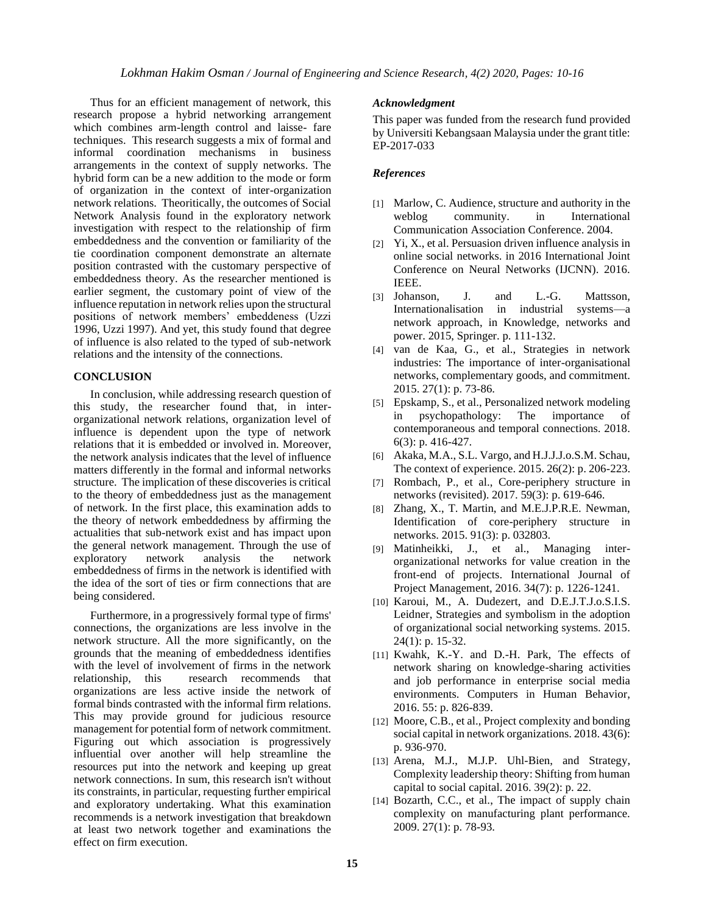Thus for an efficient management of network, this research propose a hybrid networking arrangement which combines arm-length control and laisse- fare techniques. This research suggests a mix of formal and informal coordination mechanisms in business arrangements in the context of supply networks. The hybrid form can be a new addition to the mode or form of organization in the context of inter-organization network relations. Theoritically, the outcomes of Social Network Analysis found in the exploratory network investigation with respect to the relationship of firm embeddedness and the convention or familiarity of the tie coordination component demonstrate an alternate position contrasted with the customary perspective of embeddedness theory. As the researcher mentioned is earlier segment, the customary point of view of the influence reputation in network relies upon the structural positions of network members' embeddeness (Uzzi 1996, Uzzi 1997). And yet, this study found that degree of influence is also related to the typed of sub-network relations and the intensity of the connections.

## **CONCLUSION**

In conclusion, while addressing research question of this study, the researcher found that, in interorganizational network relations, organization level of influence is dependent upon the type of network relations that it is embedded or involved in. Moreover, the network analysis indicates that the level of influence matters differently in the formal and informal networks structure. The implication of these discoveries is critical to the theory of embeddedness just as the management of network. In the first place, this examination adds to the theory of network embeddedness by affirming the actualities that sub-network exist and has impact upon the general network management. Through the use of exploratory network analysis the network embeddedness of firms in the network is identified with the idea of the sort of ties or firm connections that are being considered.

Furthermore, in a progressively formal type of firms' connections, the organizations are less involve in the network structure. All the more significantly, on the grounds that the meaning of embeddedness identifies with the level of involvement of firms in the network relationship, this research recommends that organizations are less active inside the network of formal binds contrasted with the informal firm relations. This may provide ground for judicious resource management for potential form of network commitment. Figuring out which association is progressively influential over another will help streamline the resources put into the network and keeping up great network connections. In sum, this research isn't without its constraints, in particular, requesting further empirical and exploratory undertaking. What this examination recommends is a network investigation that breakdown at least two network together and examinations the effect on firm execution.

#### *Acknowledgment*

This paper was funded from the research fund provided by Universiti Kebangsaan Malaysia under the grant title: EP-2017-033

## *References*

- [1] Marlow, C. Audience, structure and authority in the weblog community. in International Communication Association Conference. 2004.
- [2] Yi, X., et al. Persuasion driven influence analysis in online social networks. in 2016 International Joint Conference on Neural Networks (IJCNN). 2016. IEEE.
- [3] Johanson, J. and L.-G. Mattsson, Internationalisation in industrial systems—a network approach, in Knowledge, networks and power. 2015, Springer. p. 111-132.
- [4] van de Kaa, G., et al., Strategies in network industries: The importance of inter-organisational networks, complementary goods, and commitment. 2015. 27(1): p. 73-86.
- [5] Epskamp, S., et al., Personalized network modeling in psychopathology: The importance of contemporaneous and temporal connections. 2018. 6(3): p. 416-427.
- [6] Akaka, M.A., S.L. Vargo, and H.J.J.J.o.S.M. Schau, The context of experience. 2015. 26(2): p. 206-223.
- [7] Rombach, P., et al., Core-periphery structure in networks (revisited). 2017. 59(3): p. 619-646.
- [8] Zhang, X., T. Martin, and M.E.J.P.R.E. Newman, Identification of core-periphery structure in networks. 2015. 91(3): p. 032803.
- [9] Matinheikki, J., et al., Managing interorganizational networks for value creation in the front-end of projects. International Journal of Project Management, 2016. 34(7): p. 1226-1241.
- [10] Karoui, M., A. Dudezert, and D.E.J.T.J.o.S.I.S. Leidner, Strategies and symbolism in the adoption of organizational social networking systems. 2015. 24(1): p. 15-32.
- [11] Kwahk, K.-Y. and D.-H. Park, The effects of network sharing on knowledge-sharing activities and job performance in enterprise social media environments. Computers in Human Behavior, 2016. 55: p. 826-839.
- [12] Moore, C.B., et al., Project complexity and bonding social capital in network organizations. 2018. 43(6): p. 936-970.
- [13] Arena, M.J., M.J.P. Uhl-Bien, and Strategy, Complexity leadership theory: Shifting from human capital to social capital. 2016. 39(2): p. 22.
- [14] Bozarth, C.C., et al., The impact of supply chain complexity on manufacturing plant performance. 2009. 27(1): p. 78-93.